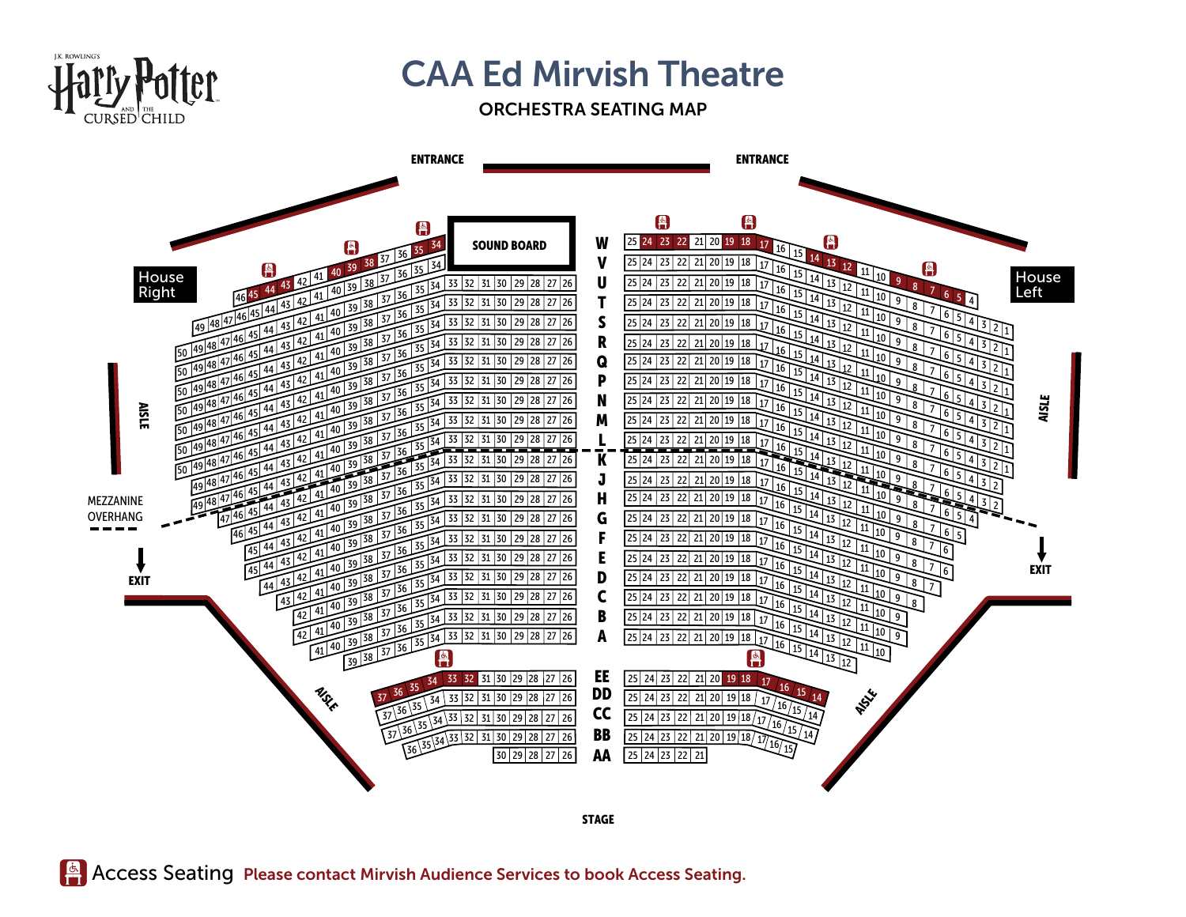

## **CAA Ed Mirvish Theatre**

## ORCHESTRA SEATING MAP